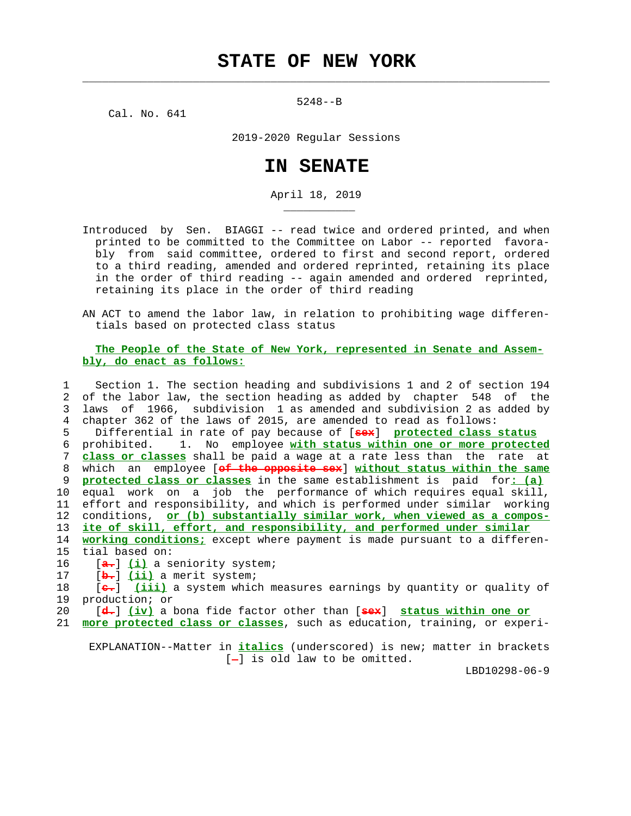5248--B

 $\mathcal{L}_\text{max} = \frac{1}{2} \sum_{i=1}^{n} \frac{1}{2} \sum_{i=1}^{n} \frac{1}{2} \sum_{i=1}^{n} \frac{1}{2} \sum_{i=1}^{n} \frac{1}{2} \sum_{i=1}^{n} \frac{1}{2} \sum_{i=1}^{n} \frac{1}{2} \sum_{i=1}^{n} \frac{1}{2} \sum_{i=1}^{n} \frac{1}{2} \sum_{i=1}^{n} \frac{1}{2} \sum_{i=1}^{n} \frac{1}{2} \sum_{i=1}^{n} \frac{1}{2} \sum_{i=1}^{n} \frac{1$ 

\_\_\_\_\_\_\_\_\_\_\_

Cal. No. 641

2019-2020 Regular Sessions

## **IN SENATE**

April 18, 2019

 Introduced by Sen. BIAGGI -- read twice and ordered printed, and when printed to be committed to the Committee on Labor -- reported favora bly from said committee, ordered to first and second report, ordered to a third reading, amended and ordered reprinted, retaining its place in the order of third reading -- again amended and ordered reprinted, retaining its place in the order of third reading

 AN ACT to amend the labor law, in relation to prohibiting wage differen tials based on protected class status

## **The People of the State of New York, represented in Senate and Assem bly, do enact as follows:**

 1 Section 1. The section heading and subdivisions 1 and 2 of section 194 2 of the labor law, the section heading as added by chapter 548 of the 3 laws of 1966, subdivision 1 as amended and subdivision 2 as added by 4 chapter 362 of the laws of 2015, are amended to read as follows: 5 Differential in rate of pay because of [**sex**] **protected class status** 6 prohibited. 1. No employee **with status within one or more protected** 7 **class or classes** shall be paid a wage at a rate less than the rate at 8 which an employee [**of the opposite sex**] **without status within the same** 9 **protected class or classes** in the same establishment is paid for**: (a)** 10 equal work on a job the performance of which requires equal skill, 11 effort and responsibility, and which is performed under similar working 12 conditions, **or (b) substantially similar work, when viewed as a compos-**

13 **ite of skill, effort, and responsibility, and performed under similar**

 14 **working conditions;** except where payment is made pursuant to a differen- 15 tial based on:

16 [**a.**] **(i)** a seniority system;

17 [**b.**] **(ii)** a merit system;

 18 [**c.**] **(iii)** a system which measures earnings by quantity or quality of 19 production; or

20 [**d.**] **(iv)** a bona fide factor other than [**sex**] **status within one or**

21 **more protected class or classes**, such as education, training, or experi-

 EXPLANATION--Matter in **italics** (underscored) is new; matter in brackets  $[-]$  is old law to be omitted.

LBD10298-06-9